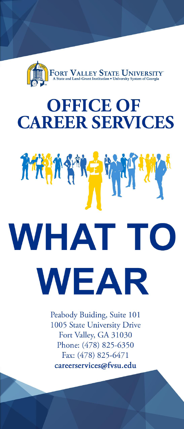

# **OFFICE OF CAREER SERVICES**

# 科技科科学 **WHAT TO WEAR**

Peabody Buiding, Suite 101 1005 State University Drive Fort Valley, GA 31030 Phone: (478) 825-6350 Fax: (478) 825-6471 careerservices@fvsu.edu